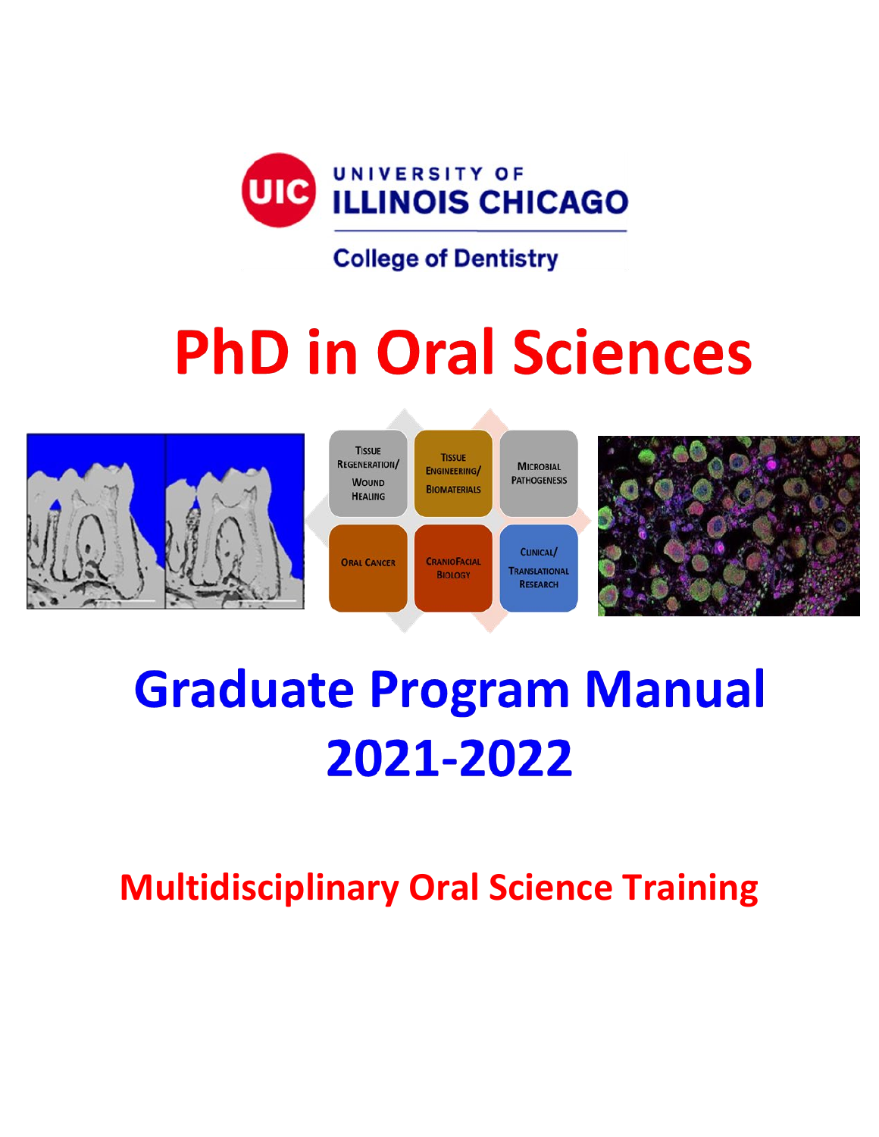

# **PhD in Oral Sciences**



# **Graduate Program Manual** 2021-2022

**Multidisciplinary Oral Science Training**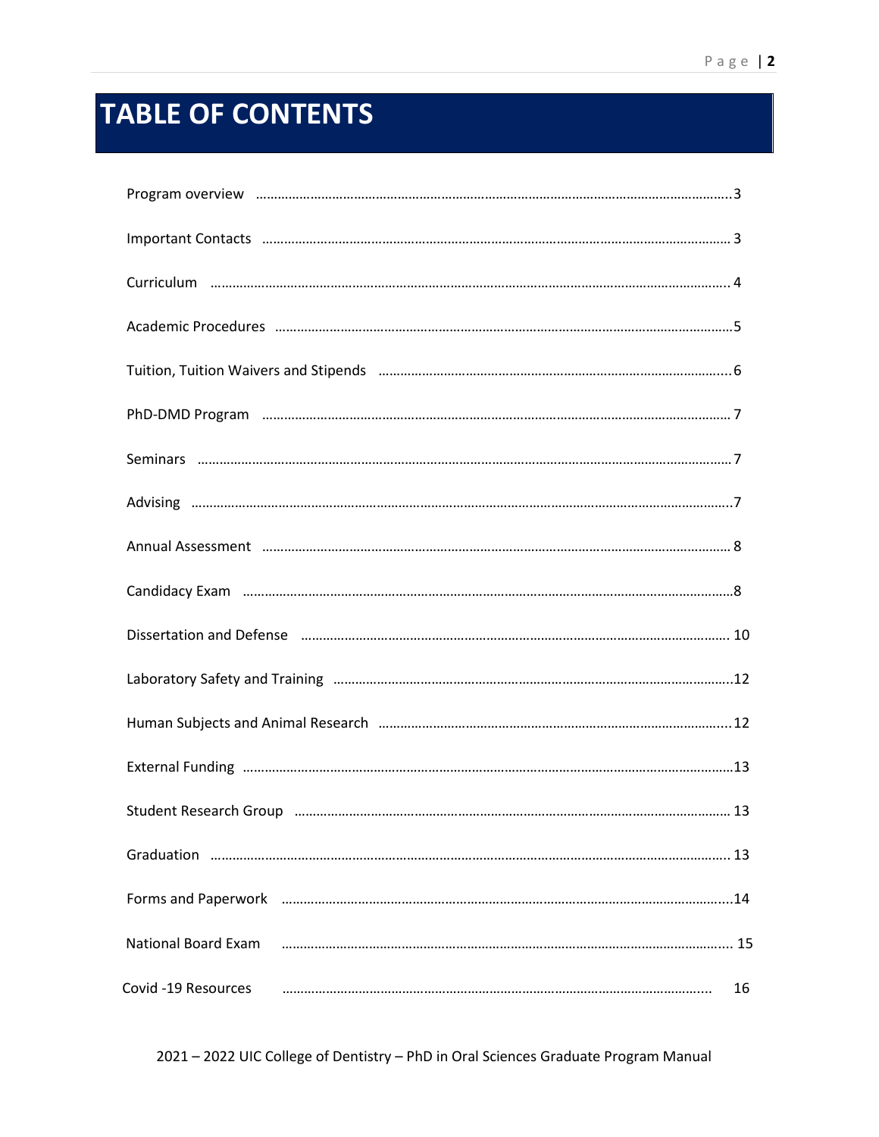# **TABLE OF CONTENTS**

| Program overview million million and the contract of the contract of the contract of the contract of the contract of the contract of the contract of the contract of the contract of the contract of the contract of the contr |    |
|--------------------------------------------------------------------------------------------------------------------------------------------------------------------------------------------------------------------------------|----|
|                                                                                                                                                                                                                                |    |
|                                                                                                                                                                                                                                |    |
|                                                                                                                                                                                                                                |    |
|                                                                                                                                                                                                                                |    |
|                                                                                                                                                                                                                                |    |
|                                                                                                                                                                                                                                |    |
|                                                                                                                                                                                                                                |    |
|                                                                                                                                                                                                                                |    |
|                                                                                                                                                                                                                                |    |
| Dissertation and Defense manufactured and the control of the US and Defense manufactured and Defense                                                                                                                           |    |
|                                                                                                                                                                                                                                |    |
|                                                                                                                                                                                                                                |    |
|                                                                                                                                                                                                                                |    |
| Student Research Group manufactured and the manufactured and the Student Research Group                                                                                                                                        |    |
|                                                                                                                                                                                                                                |    |
| Forms and Paperwork manufactured and the manufactured and Paperwork manufactured and the manufactured and the                                                                                                                  |    |
| <b>National Board Exam</b>                                                                                                                                                                                                     |    |
| Covid -19 Resources                                                                                                                                                                                                            | 16 |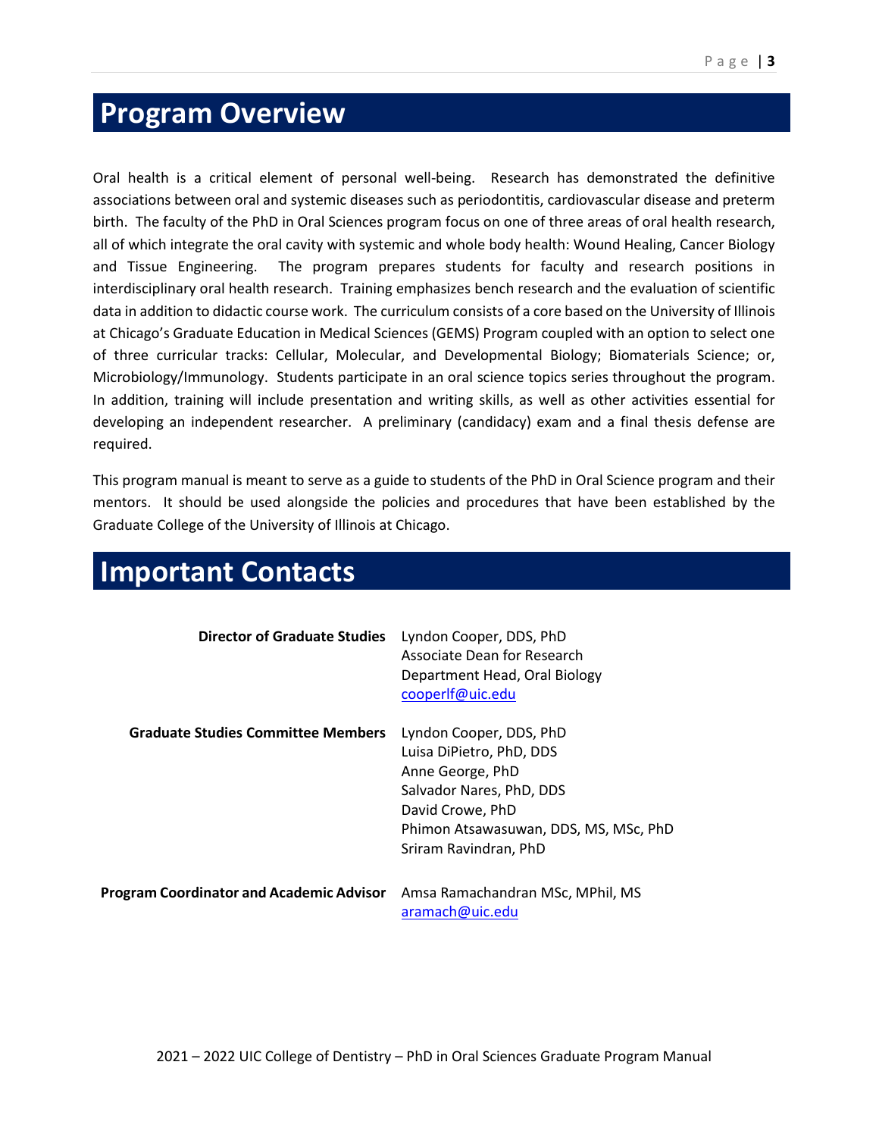# <span id="page-2-0"></span>**Program Overview**

Oral health is a critical element of personal well-being. Research has demonstrated the definitive associations between oral and systemic diseases such as periodontitis, cardiovascular disease and preterm birth. The faculty of the PhD in Oral Sciences program focus on one of three areas of oral health research, all of which integrate the oral cavity with systemic and whole body health: Wound Healing, Cancer Biology and Tissue Engineering. The program prepares students for faculty and research positions in interdisciplinary oral health research. Training emphasizes bench research and the evaluation of scientific data in addition to didactic course work. The curriculum consists of a core based on the University of Illinois at Chicago's Graduate Education in Medical Sciences (GEMS) Program coupled with an option to select one of three curricular tracks: Cellular, Molecular, and Developmental Biology; Biomaterials Science; or, Microbiology/Immunology. Students participate in an oral science topics series throughout the program. In addition, training will include presentation and writing skills, as well as other activities essential for developing an independent researcher. A preliminary (candidacy) exam and a final thesis defense are required.

This program manual is meant to serve as a guide to students of the PhD in Oral Science program and their mentors. It should be used alongside the policies and procedures that have been established by the Graduate College of the University of Illinois at Chicago.

| <b>Director of Graduate Studies</b>             | Lyndon Cooper, DDS, PhD<br>Associate Dean for Research<br>Department Head, Oral Biology<br>cooperIf@uic.edu                                                                               |
|-------------------------------------------------|-------------------------------------------------------------------------------------------------------------------------------------------------------------------------------------------|
| <b>Graduate Studies Committee Members</b>       | Lyndon Cooper, DDS, PhD<br>Luisa DiPietro, PhD, DDS<br>Anne George, PhD<br>Salvador Nares, PhD, DDS<br>David Crowe, PhD<br>Phimon Atsawasuwan, DDS, MS, MSc, PhD<br>Sriram Ravindran, PhD |
| <b>Program Coordinator and Academic Advisor</b> | Amsa Ramachandran MSc, MPhil, MS<br>aramach@uic.edu                                                                                                                                       |

# <span id="page-2-1"></span>**Important Contacts**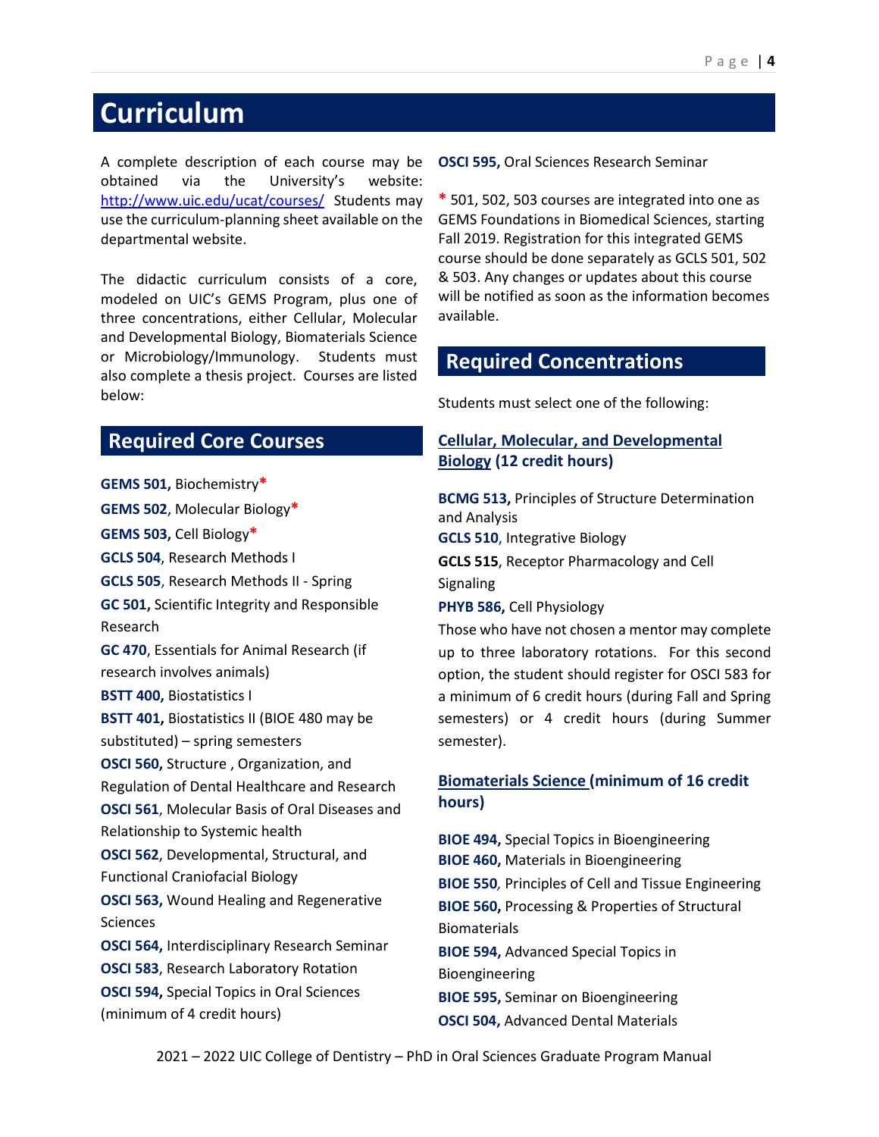# <span id="page-3-0"></span>**Curriculum**

A complete description of each course may be obtained via the University's website: <http://www.uic.edu/ucat/courses/>Students may use the curriculum-planning sheet available on the departmental website.

The didactic curriculum consists of a core, modeled on UIC's GEMS Program, plus one of three concentrations, either Cellular, Molecular and Developmental Biology, Biomaterials Science or Microbiology/Immunology. Students must also complete a thesis project. Courses are listed below:

#### **Required Core Courses**

**GEMS 501,** Biochemistry**\* GEMS 502**, Molecular Biology**\* GEMS 503,** Cell Biology**\* GCLS 504**, Research Methods I **GCLS 505**, Research Methods II - Spring **GC 501,** Scientific Integrity and Responsible Research **GC 470**, Essentials for Animal Research (if research involves animals) **BSTT 400,** Biostatistics I **BSTT 401,** Biostatistics II (BIOE 480 may be substituted) – spring semesters **OSCI 560,** Structure , Organization, and Regulation of Dental Healthcare and Research **OSCI 561**, Molecular Basis of Oral Diseases and Relationship to Systemic health **OSCI 562**, Developmental, Structural, and Functional Craniofacial Biology **OSCI 563,** Wound Healing and Regenerative Sciences **OSCI 564,** Interdisciplinary Research Seminar **OSCI 583**, Research Laboratory Rotation **OSCI 594,** Special Topics in Oral Sciences (minimum of 4 credit hours)

**OSCI 595,** Oral Sciences Research Seminar

**\*** 501, 502, 503 courses are integrated into one as GEMS Foundations in Biomedical Sciences, starting Fall 2019. Registration for this integrated GEMS course should be done separately as GCLS 501, 502 & 503. Any changes or updates about this course will be notified as soon as the information becomes available.

#### **Required Concentrations**

Students must select one of the following:

#### **Cellular, Molecular, and Developmental Biology (12 credit hours)**

**BCMG 513,** Principles of Structure Determination and Analysis

**GCLS 510**, Integrative Biology

**GCLS 515**, Receptor Pharmacology and Cell

Signaling

**PHYB 586,** Cell Physiology

Those who have not chosen a mentor may complete up to three laboratory rotations. For this second option, the student should register for OSCI 583 for a minimum of 6 credit hours (during Fall and Spring semesters) or 4 credit hours (during Summer semester).

#### **Biomaterials Science (minimum of 16 credit hours)**

**BIOE 494,** Special Topics in Bioengineering **BIOE 460,** Materials in Bioengineering **BIOE 550***,* Principles of Cell and Tissue Engineering **BIOE 560,** Processing & Properties of Structural Biomaterials **BIOE 594,** Advanced Special Topics in Bioengineering **BIOE 595,** Seminar on Bioengineering **OSCI 504,** Advanced Dental Materials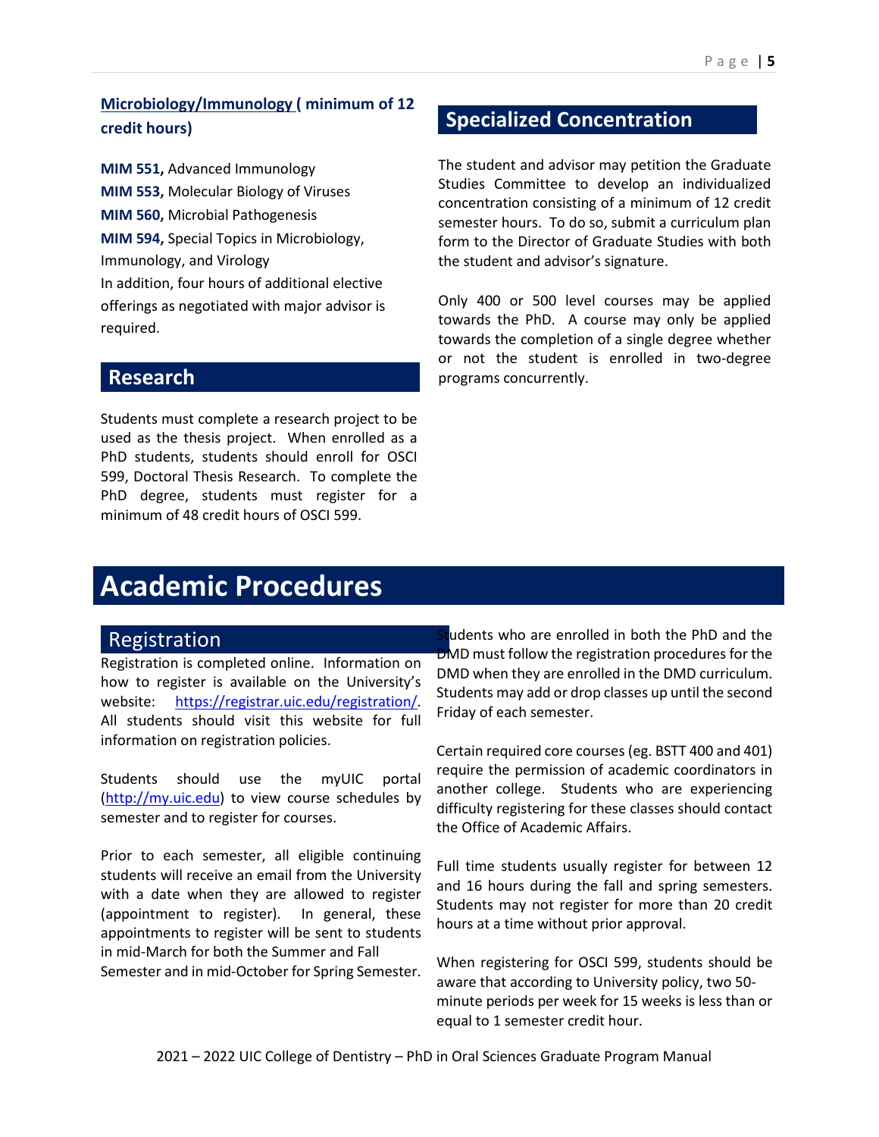#### **Microbiology/Immunology ( minimum of 12 credit hours)**

**MIM 551,** Advanced Immunology **MIM 553,** Molecular Biology of Viruses **MIM 560,** Microbial Pathogenesis **MIM 594,** Special Topics in Microbiology, Immunology, and Virology In addition, four hours of additional elective offerings as negotiated with major advisor is required.

#### **Research**

Students must complete a research project to be used as the thesis project. When enrolled as a PhD students, students should enroll for OSCI 599, Doctoral Thesis Research. To complete the PhD degree, students must register for a minimum of 48 credit hours of OSCI 599.

#### **Specialized Concentration**

The student and advisor may petition the Graduate Studies Committee to develop an individualized concentration consisting of a minimum of 12 credit semester hours. To do so, submit a curriculum plan form to the Director of Graduate Studies with both the student and advisor's signature.

Only 400 or 500 level courses may be applied towards the PhD. A course may only be applied towards the completion of a single degree whether or not the student is enrolled in two-degree programs concurrently.

# <span id="page-4-0"></span>**Academic Procedures**

#### Registration

Registration is completed online. Information on how to register is available on the University's website: [https://registrar.uic.edu/registration/.](https://registrar.uic.edu/registration/) All students should visit this website for full information on registration policies.

Students should use the myUIC portal [\(http://my.uic.edu\)](http://my.uic.edu/) to view course schedules by semester and to register for courses.

Prior to each semester, all eligible continuing students will receive an email from the University with a date when they are allowed to register (appointment to register). In general, these appointments to register will be sent to students in mid-March for both the Summer and Fall Semester and in mid-October for Spring Semester.

Students who are enrolled in both the PhD and the DMD must follow the registration procedures for the DMD when they are enrolled in the DMD curriculum. Students may add or drop classes up until the second Friday of each semester.

Certain required core courses (eg. BSTT 400 and 401) require the permission of academic coordinators in another college. Students who are experiencing difficulty registering for these classes should contact the Office of Academic Affairs.

Full time students usually register for between 12 and 16 hours during the fall and spring semesters. Students may not register for more than 20 credit hours at a time without prior approval.

When registering for OSCI 599, students should be aware that according to University policy, two 50 minute periods per week for 15 weeks is less than or equal to 1 semester credit hour.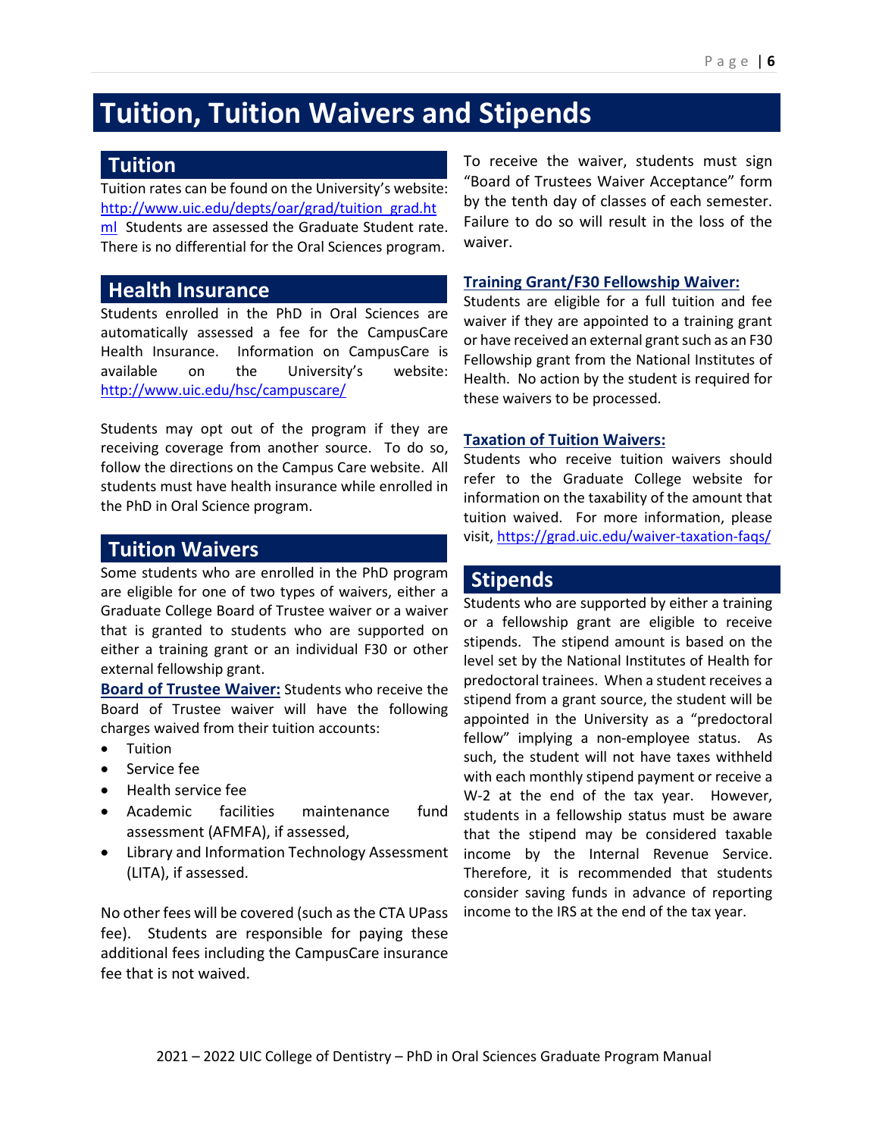# **Tuition, Tuition Waivers and Stipends**

#### <span id="page-5-0"></span>**Tuition**

Tuition rates can be found on the University's website: [http://www.uic.edu/depts/oar/grad/tuition\\_grad.ht](http://www.uic.edu/depts/oar/grad/tuition_grad.html) [ml](http://www.uic.edu/depts/oar/grad/tuition_grad.html) Students are assessed the Graduate Student rate. There is no differential for the Oral Sciences program.

#### **Health Insurance**

Students enrolled in the PhD in Oral Sciences are automatically assessed a fee for the CampusCare Health Insurance. Information on CampusCare is available on the University's website: <http://www.uic.edu/hsc/campuscare/>

Students may opt out of the program if they are receiving coverage from another source. To do so, follow the directions on the Campus Care website. All students must have health insurance while enrolled in the PhD in Oral Science program.

#### **Tuition Waivers**

Some students who are enrolled in the PhD program are eligible for one of two types of waivers, either a Graduate College Board of Trustee waiver or a waiver that is granted to students who are supported on either a training grant or an individual F30 or other external fellowship grant.

**Board of Trustee Waiver:** Students who receive the Board of Trustee waiver will have the following charges waived from their tuition accounts:

- **Tuition**
- Service fee
- Health service fee
- Academic facilities maintenance fund assessment (AFMFA), if assessed,
- Library and Information Technology Assessment (LITA), if assessed.

No other fees will be covered (such as the CTA UPass fee). Students are responsible for paying these additional fees including the CampusCare insurance fee that is not waived.

To receive the waiver, students must sign "Board of Trustees Waiver Acceptance" form by the tenth day of classes of each semester. Failure to do so will result in the loss of the waiver.

#### **Training Grant/F30 Fellowship Waiver:**

Students are eligible for a full tuition and fee waiver if they are appointed to a training grant or have received an external grant such as an F30 Fellowship grant from the National Institutes of Health. No action by the student is required for these waivers to be processed.

#### **Taxation of Tuition Waivers:**

Students who receive tuition waivers should refer to the Graduate College website for information on the taxability of the amount that tuition waived. For more information, please visit,<https://grad.uic.edu/waiver-taxation-faqs/>

#### **Stipends**

Students who are supported by either a training or a fellowship grant are eligible to receive stipends. The stipend amount is based on the level set by the National Institutes of Health for predoctoral trainees. When a student receives a stipend from a grant source, the student will be appointed in the University as a "predoctoral fellow" implying a non-employee status. As such, the student will not have taxes withheld with each monthly stipend payment or receive a W-2 at the end of the tax year. However, students in a fellowship status must be aware that the stipend may be considered taxable income by the Internal Revenue Service. Therefore, it is recommended that students consider saving funds in advance of reporting income to the IRS at the end of the tax year.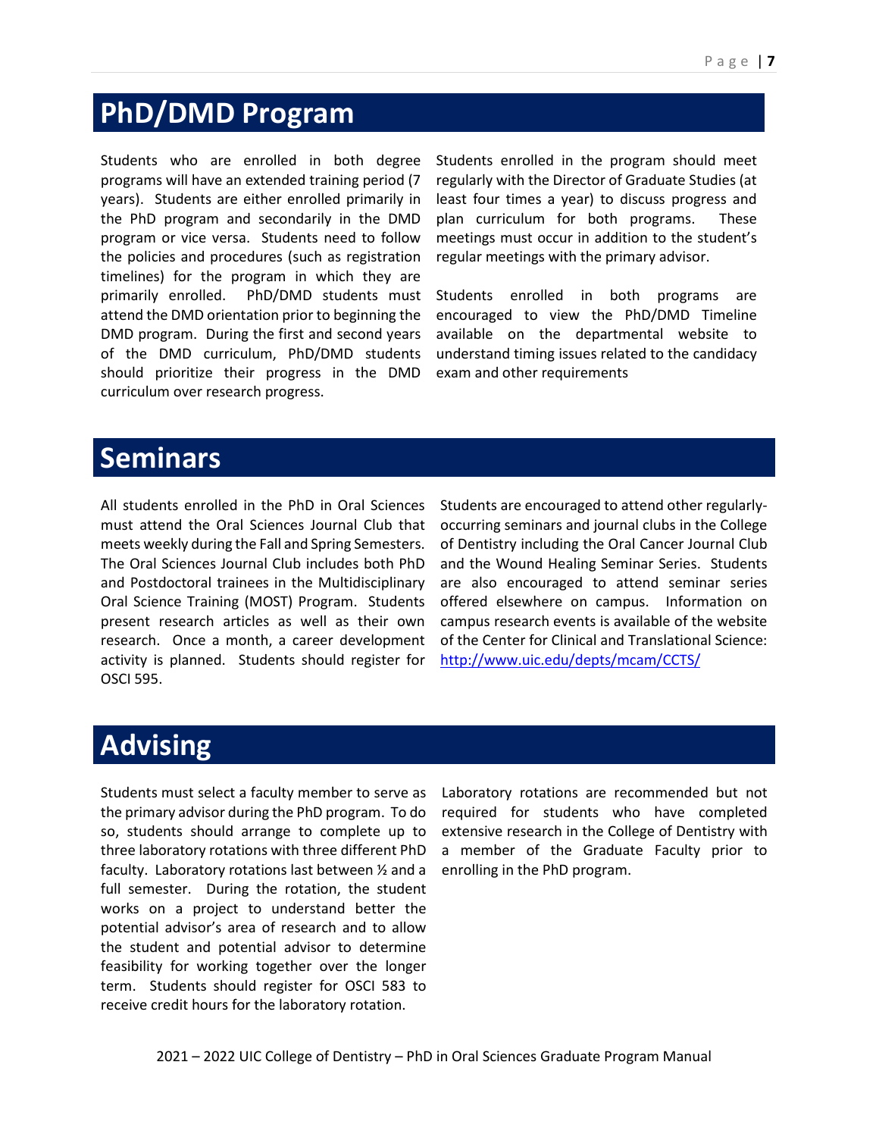# <span id="page-6-0"></span>**PhD/DMD Program**

Students who are enrolled in both degree programs will have an extended training period (7 years). Students are either enrolled primarily in the PhD program and secondarily in the DMD program or vice versa. Students need to follow the policies and procedures (such as registration timelines) for the program in which they are primarily enrolled. PhD/DMD students must attend the DMD orientation prior to beginning the DMD program. During the first and second years of the DMD curriculum, PhD/DMD students should prioritize their progress in the DMD curriculum over research progress.

Students enrolled in the program should meet regularly with the Director of Graduate Studies (at least four times a year) to discuss progress and plan curriculum for both programs. These meetings must occur in addition to the student's regular meetings with the primary advisor.

Students enrolled in both programs are encouraged to view the PhD/DMD Timeline available on the departmental website to understand timing issues related to the candidacy exam and other requirements

# <span id="page-6-1"></span>**Seminars**

All students enrolled in the PhD in Oral Sciences must attend the Oral Sciences Journal Club that meets weekly during the Fall and Spring Semesters. The Oral Sciences Journal Club includes both PhD and Postdoctoral trainees in the Multidisciplinary Oral Science Training (MOST) Program. Students present research articles as well as their own research. Once a month, a career development activity is planned. Students should register for OSCI 595.

Students are encouraged to attend other regularlyoccurring seminars and journal clubs in the College of Dentistry including the Oral Cancer Journal Club and the Wound Healing Seminar Series. Students are also encouraged to attend seminar series offered elsewhere on campus. Information on campus research events is available of the website of the Center for Clinical and Translational Science: <http://www.uic.edu/depts/mcam/CCTS/>

# <span id="page-6-2"></span>**Advising**

Students must select a faculty member to serve as the primary advisor during the PhD program. To do so, students should arrange to complete up to three laboratory rotations with three different PhD faculty. Laboratory rotations last between ½ and a full semester. During the rotation, the student works on a project to understand better the potential advisor's area of research and to allow the student and potential advisor to determine feasibility for working together over the longer term. Students should register for OSCI 583 to receive credit hours for the laboratory rotation.

Laboratory rotations are recommended but not required for students who have completed extensive research in the College of Dentistry with a member of the Graduate Faculty prior to enrolling in the PhD program.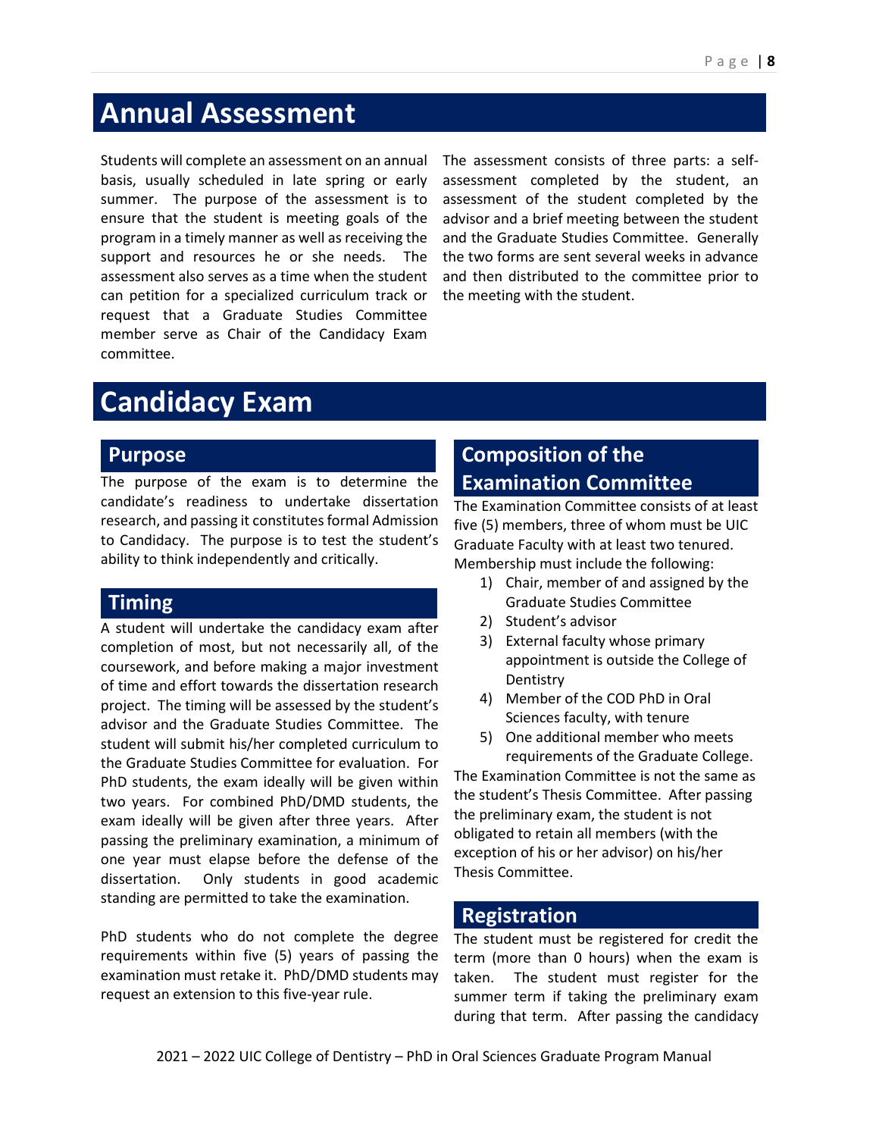# <span id="page-7-0"></span>**Annual Assessment**

Students will complete an assessment on an annual basis, usually scheduled in late spring or early summer. The purpose of the assessment is to ensure that the student is meeting goals of the program in a timely manner as well as receiving the support and resources he or she needs. The assessment also serves as a time when the student can petition for a specialized curriculum track or request that a Graduate Studies Committee member serve as Chair of the Candidacy Exam committee.

The assessment consists of three parts: a selfassessment completed by the student, an assessment of the student completed by the advisor and a brief meeting between the student and the Graduate Studies Committee. Generally the two forms are sent several weeks in advance and then distributed to the committee prior to the meeting with the student.

# <span id="page-7-1"></span>**Candidacy Exam**

#### **Purpose**

The purpose of the exam is to determine the candidate's readiness to undertake dissertation research, and passing it constitutes formal Admission to Candidacy. The purpose is to test the student's ability to think independently and critically.

#### **Timing**

A student will undertake the candidacy exam after completion of most, but not necessarily all, of the coursework, and before making a major investment of time and effort towards the dissertation research project. The timing will be assessed by the student's advisor and the Graduate Studies Committee. The student will submit his/her completed curriculum to the Graduate Studies Committee for evaluation. For PhD students, the exam ideally will be given within two years. For combined PhD/DMD students, the exam ideally will be given after three years. After passing the preliminary examination, a minimum of one year must elapse before the defense of the dissertation. Only students in good academic standing are permitted to take the examination.

PhD students who do not complete the degree requirements within five (5) years of passing the examination must retake it. PhD/DMD students may request an extension to this five-year rule.

### **Composition of the Examination Committee**

The Examination Committee consists of at least five (5) members, three of whom must be UIC Graduate Faculty with at least two tenured. Membership must include the following:

- 1) Chair, member of and assigned by the Graduate Studies Committee
- 2) Student's advisor
- 3) External faculty whose primary appointment is outside the College of **Dentistry**
- 4) Member of the COD PhD in Oral Sciences faculty, with tenure
- 5) One additional member who meets requirements of the Graduate College.

The Examination Committee is not the same as the student's Thesis Committee. After passing the preliminary exam, the student is not obligated to retain all members (with the exception of his or her advisor) on his/her Thesis Committee.

#### **Registration**

The student must be registered for credit the term (more than 0 hours) when the exam is taken. The student must register for the summer term if taking the preliminary exam during that term. After passing the candidacy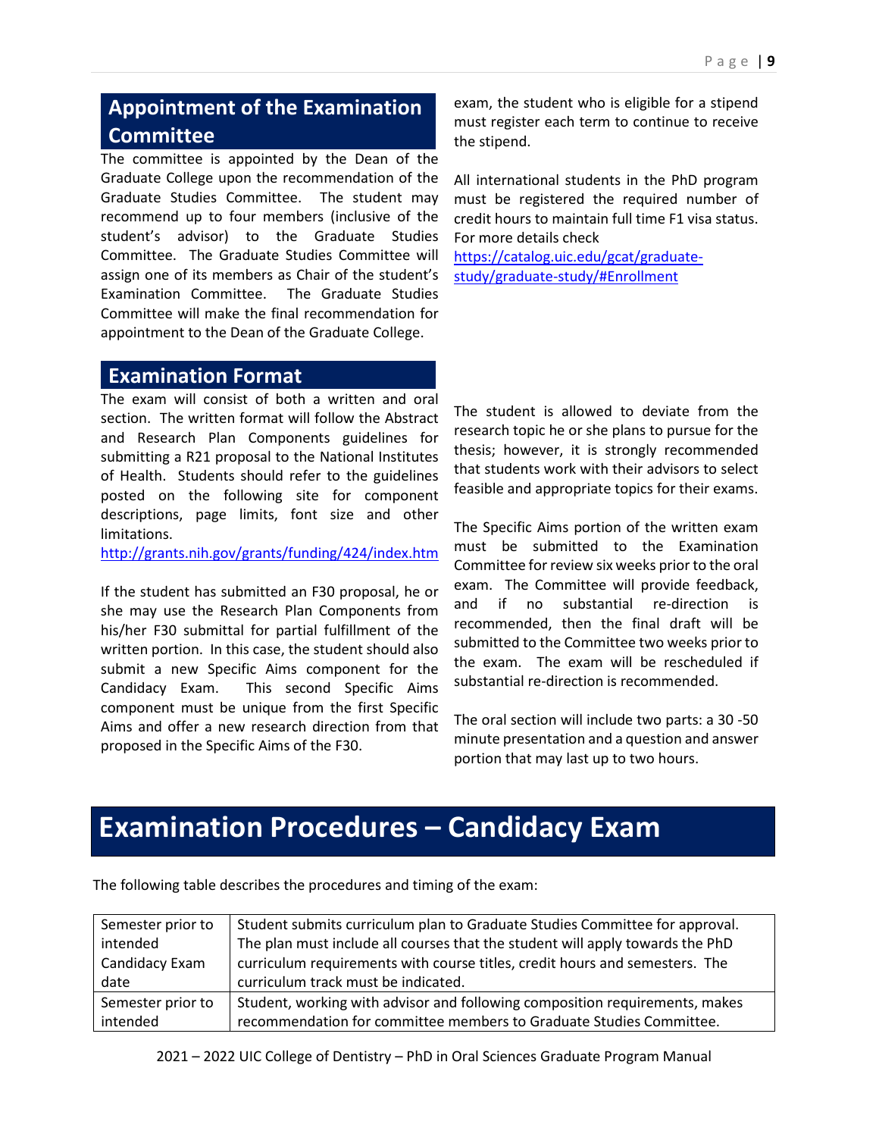#### **Appointment of the Examination Committee**

The committee is appointed by the Dean of the Graduate College upon the recommendation of the Graduate Studies Committee. The student may recommend up to four members (inclusive of the student's advisor) to the Graduate Studies Committee. The Graduate Studies Committee will assign one of its members as Chair of the student's Examination Committee. The Graduate Studies Committee will make the final recommendation for appointment to the Dean of the Graduate College.

exam, the student who is eligible for a stipend must register each term to continue to receive the stipend.

All international students in the PhD program must be registered the required number of credit hours to maintain full time F1 visa status. For more details check

[https://catalog.uic.edu/gcat/graduate](https://catalog.uic.edu/gcat/graduate-study/graduate-study/#Enrollment)[study/graduate-study/#Enrollment](https://catalog.uic.edu/gcat/graduate-study/graduate-study/#Enrollment)

#### **Examination Format**

The exam will consist of both a written and oral section. The written format will follow the Abstract and Research Plan Components guidelines for submitting a R21 proposal to the National Institutes of Health. Students should refer to the guidelines posted on the following site for component descriptions, page limits, font size and other limitations.

<http://grants.nih.gov/grants/funding/424/index.htm>

If the student has submitted an F30 proposal, he or she may use the Research Plan Components from his/her F30 submittal for partial fulfillment of the written portion. In this case, the student should also submit a new Specific Aims component for the Candidacy Exam. This second Specific Aims component must be unique from the first Specific Aims and offer a new research direction from that proposed in the Specific Aims of the F30.

The student is allowed to deviate from the research topic he or she plans to pursue for the thesis; however, it is strongly recommended that students work with their advisors to select feasible and appropriate topics for their exams.

The Specific Aims portion of the written exam must be submitted to the Examination Committee for review six weeks prior to the oral exam. The Committee will provide feedback, and if no substantial re-direction is recommended, then the final draft will be submitted to the Committee two weeks prior to the exam. The exam will be rescheduled if substantial re-direction is recommended.

The oral section will include two parts: a 30 -50 minute presentation and a question and answer portion that may last up to two hours.

# **Examination Procedures – Candidacy Exam**

| Semester prior to | Student submits curriculum plan to Graduate Studies Committee for approval.   |
|-------------------|-------------------------------------------------------------------------------|
| intended          | The plan must include all courses that the student will apply towards the PhD |
| Candidacy Exam    | curriculum requirements with course titles, credit hours and semesters. The   |
| date              | curriculum track must be indicated.                                           |
| Semester prior to | Student, working with advisor and following composition requirements, makes   |
| intended          | recommendation for committee members to Graduate Studies Committee.           |

The following table describes the procedures and timing of the exam: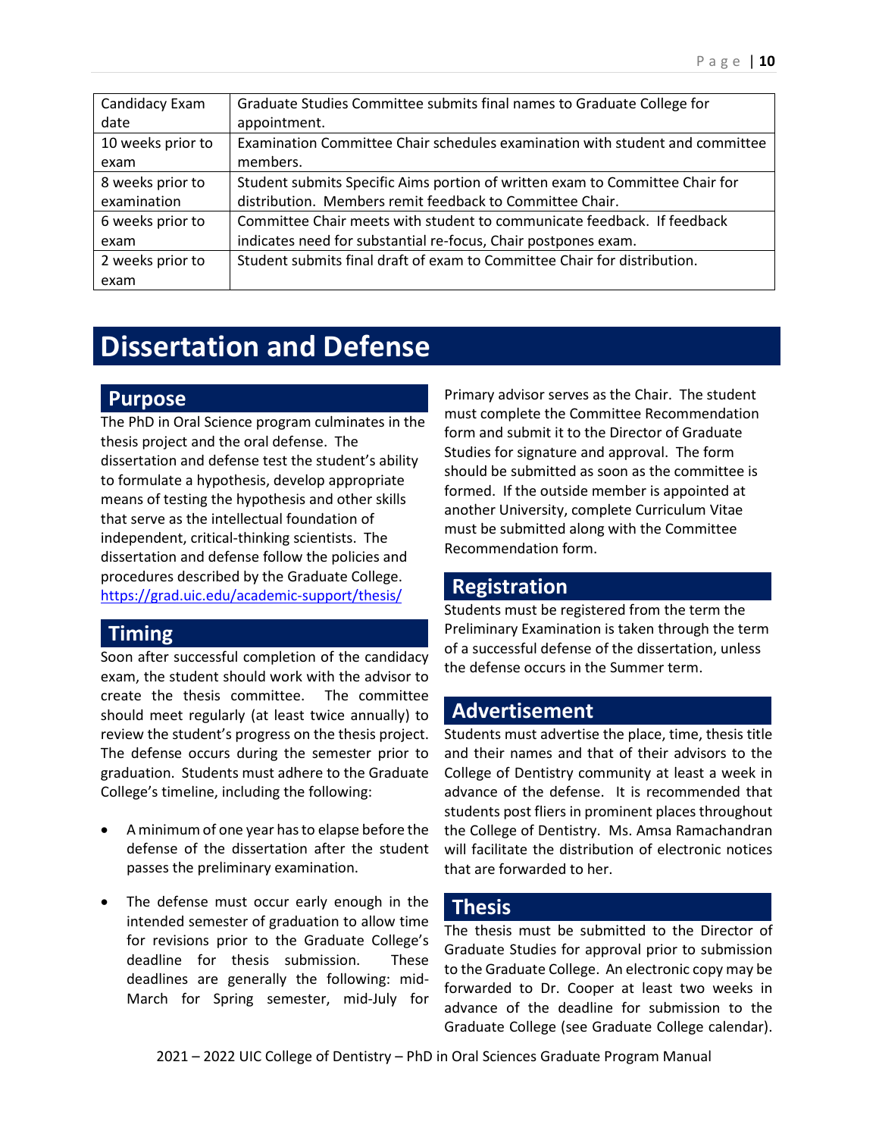| Candidacy Exam    | Graduate Studies Committee submits final names to Graduate College for       |
|-------------------|------------------------------------------------------------------------------|
| date              | appointment.                                                                 |
| 10 weeks prior to | Examination Committee Chair schedules examination with student and committee |
| exam              | members.                                                                     |
| 8 weeks prior to  | Student submits Specific Aims portion of written exam to Committee Chair for |
| examination       | distribution. Members remit feedback to Committee Chair.                     |
| 6 weeks prior to  | Committee Chair meets with student to communicate feedback. If feedback      |
| exam              | indicates need for substantial re-focus, Chair postpones exam.               |
| 2 weeks prior to  | Student submits final draft of exam to Committee Chair for distribution.     |
| exam              |                                                                              |

# **Dissertation and Defense**

#### **Purpose**

The PhD in Oral Science program culminates in the thesis project and the oral defense. The dissertation and defense test the student's ability to formulate a hypothesis, develop appropriate means of testing the hypothesis and other skills that serve as the intellectual foundation of independent, critical-thinking scientists. The dissertation and defense follow the policies and procedures described by the Graduate College. <https://grad.uic.edu/academic-support/thesis/>

#### **Timing**

Soon after successful completion of the candidacy exam, the student should work with the advisor to create the thesis committee. The committee should meet regularly (at least twice annually) to review the student's progress on the thesis project. The defense occurs during the semester prior to graduation. Students must adhere to the Graduate College's timeline, including the following:

- A minimum of one year has to elapse before the defense of the dissertation after the student passes the preliminary examination.
- The defense must occur early enough in the intended semester of graduation to allow time for revisions prior to the Graduate College's deadline for thesis submission. These deadlines are generally the following: mid-March for Spring semester, mid-July for

Primary advisor serves as the Chair. The student must complete the Committee Recommendation form and submit it to the Director of Graduate Studies for signature and approval. The form should be submitted as soon as the committee is formed. If the outside member is appointed at another University, complete Curriculum Vitae must be submitted along with the Committee Recommendation form.

#### **Registration**

Students must be registered from the term the Preliminary Examination is taken through the term of a successful defense of the dissertation, unless the defense occurs in the Summer term.

#### **Advertisement**

Students must advertise the place, time, thesis title and their names and that of their advisors to the College of Dentistry community at least a week in advance of the defense. It is recommended that students post fliers in prominent places throughout the College of Dentistry. Ms. Amsa Ramachandran will facilitate the distribution of electronic notices that are forwarded to her.

#### **Thesis**

The thesis must be submitted to the Director of Graduate Studies for approval prior to submission to the Graduate College. An electronic copy may be forwarded to Dr. Cooper at least two weeks in advance of the deadline for submission to the Graduate College (see Graduate College calendar).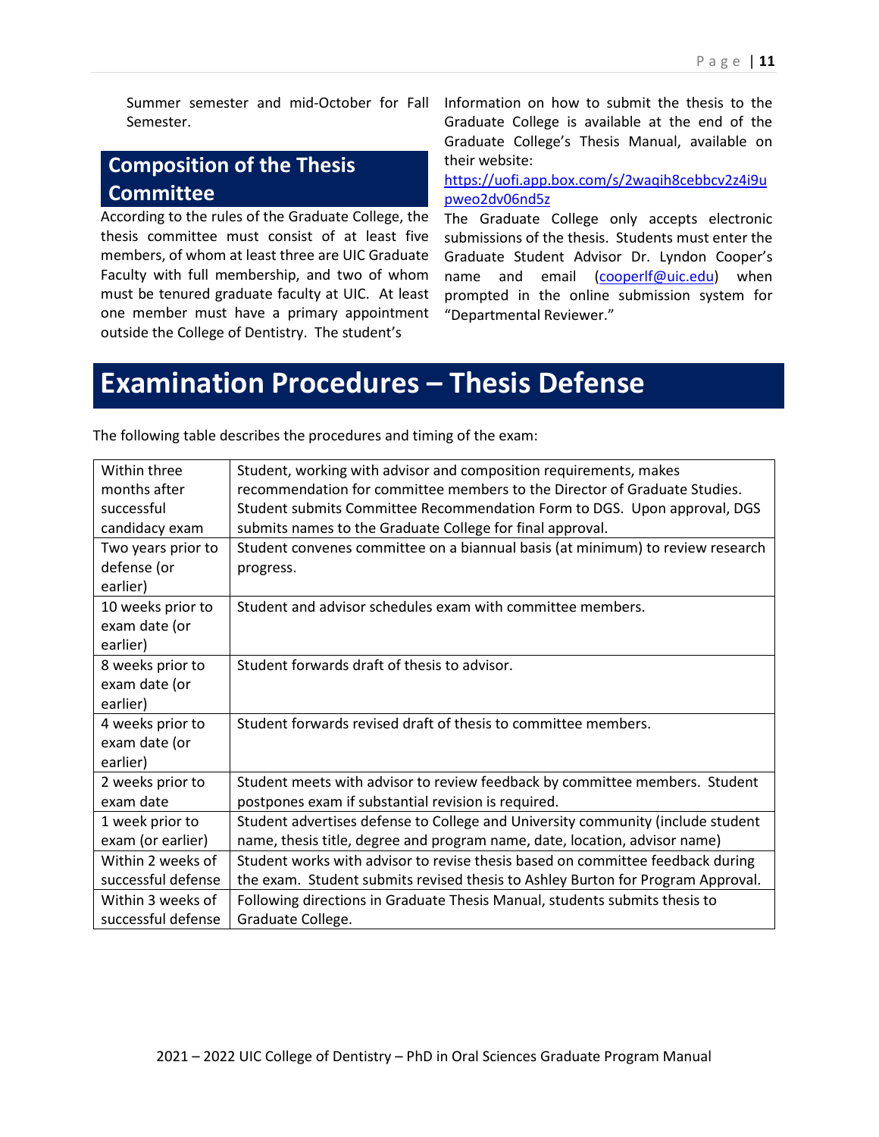Summer semester and mid-October for Fall Semester.

#### **Composition of the Thesis Committee**

According to the rules of the Graduate College, the thesis committee must consist of at least five members, of whom at least three are UIC Graduate Faculty with full membership, and two of whom must be tenured graduate faculty at UIC. At least one member must have a primary appointment outside the College of Dentistry. The student's

Information on how to submit the thesis to the Graduate College is available at the end of the Graduate College's Thesis Manual, available on their website:

[https://uofi.app.box.com/s/2waqih8cebbcv2z4i9u](https://uofi.app.box.com/s/2waqih8cebbcv2z4i9upweo2dv06nd5z) [pweo2dv06nd5z](https://uofi.app.box.com/s/2waqih8cebbcv2z4i9upweo2dv06nd5z)

The Graduate College only accepts electronic submissions of the thesis. Students must enter the Graduate Student Advisor Dr. Lyndon Cooper's name and email [\(cooperlf@uic.edu\)](mailto:cooperlf@uic.edu) when prompted in the online submission system for "Departmental Reviewer."

# **Examination Procedures – Thesis Defense**

| Within three       | Student, working with advisor and composition requirements, makes               |
|--------------------|---------------------------------------------------------------------------------|
| months after       | recommendation for committee members to the Director of Graduate Studies.       |
| successful         | Student submits Committee Recommendation Form to DGS. Upon approval, DGS        |
| candidacy exam     | submits names to the Graduate College for final approval.                       |
| Two years prior to | Student convenes committee on a biannual basis (at minimum) to review research  |
| defense (or        | progress.                                                                       |
| earlier)           |                                                                                 |
| 10 weeks prior to  | Student and advisor schedules exam with committee members.                      |
| exam date (or      |                                                                                 |
| earlier)           |                                                                                 |
| 8 weeks prior to   | Student forwards draft of thesis to advisor.                                    |
| exam date (or      |                                                                                 |
| earlier)           |                                                                                 |
| 4 weeks prior to   | Student forwards revised draft of thesis to committee members.                  |
| exam date (or      |                                                                                 |
| earlier)           |                                                                                 |
| 2 weeks prior to   | Student meets with advisor to review feedback by committee members. Student     |
| exam date          | postpones exam if substantial revision is required.                             |
| 1 week prior to    | Student advertises defense to College and University community (include student |
| exam (or earlier)  | name, thesis title, degree and program name, date, location, advisor name)      |
| Within 2 weeks of  | Student works with advisor to revise thesis based on committee feedback during  |
| successful defense | the exam. Student submits revised thesis to Ashley Burton for Program Approval. |
| Within 3 weeks of  | Following directions in Graduate Thesis Manual, students submits thesis to      |
| successful defense | Graduate College.                                                               |
|                    |                                                                                 |

The following table describes the procedures and timing of the exam: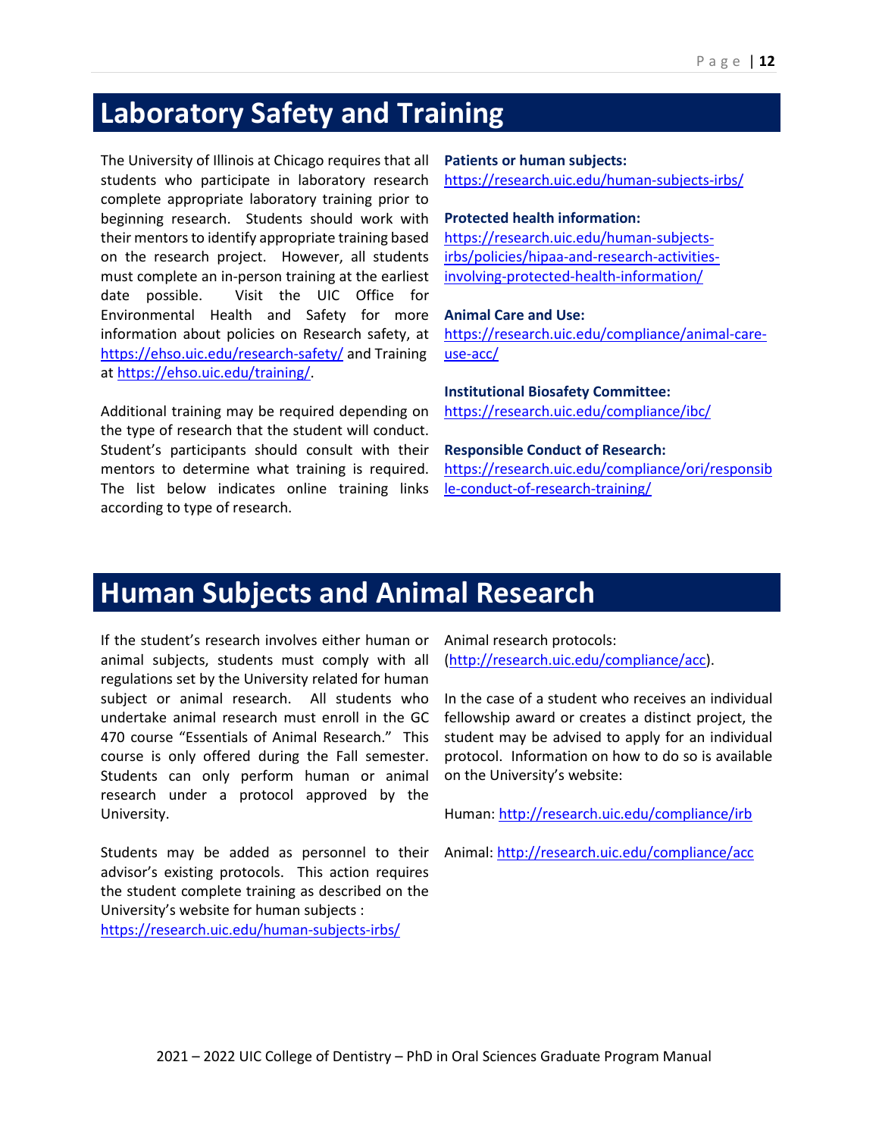# <span id="page-11-0"></span>**Laboratory Safety and Training**

The University of Illinois at Chicago requires that all students who participate in laboratory research complete appropriate laboratory training prior to beginning research. Students should work with their mentors to identify appropriate training based on the research project. However, all students must complete an in-person training at the earliest date possible. Visit the UIC Office for Environmental Health and Safety for more information about policies on Research safety, at <https://ehso.uic.edu/research-safety/> and Training a[t https://ehso.uic.edu/training/.](https://ehso.uic.edu/training/)

Additional training may be required depending on the type of research that the student will conduct. Student's participants should consult with their mentors to determine what training is required. The list below indicates online training links according to type of research.

#### **Patients or human subjects:**

<https://research.uic.edu/human-subjects-irbs/>

#### **Protected health information:**

[https://research.uic.edu/human-subjects](https://research.uic.edu/human-subjects-irbs/policies/hipaa-and-research-activities-involving-protected-health-information/)[irbs/policies/hipaa-and-research-activities](https://research.uic.edu/human-subjects-irbs/policies/hipaa-and-research-activities-involving-protected-health-information/)[involving-protected-health-information/](https://research.uic.edu/human-subjects-irbs/policies/hipaa-and-research-activities-involving-protected-health-information/)

#### **Animal Care and Use:**

[https://research.uic.edu/compliance/animal-care](https://research.uic.edu/compliance/animal-care-use-acc/)[use-acc/](https://research.uic.edu/compliance/animal-care-use-acc/)

#### **Institutional Biosafety Committee:**

<https://research.uic.edu/compliance/ibc/>

#### **Responsible Conduct of Research:**

[https://research.uic.edu/compliance/ori/responsib](https://research.uic.edu/compliance/ori/responsible-conduct-of-research-training/) [le-conduct-of-research-training/](https://research.uic.edu/compliance/ori/responsible-conduct-of-research-training/)

# <span id="page-11-1"></span>**Human Subjects and Animal Research**

If the student's research involves either human or animal subjects, students must comply with all regulations set by the University related for human subject or animal research. All students who undertake animal research must enroll in the GC 470 course "Essentials of Animal Research." This course is only offered during the Fall semester. Students can only perform human or animal research under a protocol approved by the University.

Students may be added as personnel to their advisor's existing protocols. This action requires the student complete training as described on the University's website for human subjects : <https://research.uic.edu/human-subjects-irbs/>

Animal research protocols: [\(http://research.uic.edu/compliance/acc\)](http://research.uic.edu/compliance/acc).

In the case of a student who receives an individual fellowship award or creates a distinct project, the student may be advised to apply for an individual protocol. Information on how to do so is available on the University's website:

Human[: http://research.uic.edu/compliance/irb](http://research.uic.edu/compliance/irb)

Animal:<http://research.uic.edu/compliance/acc>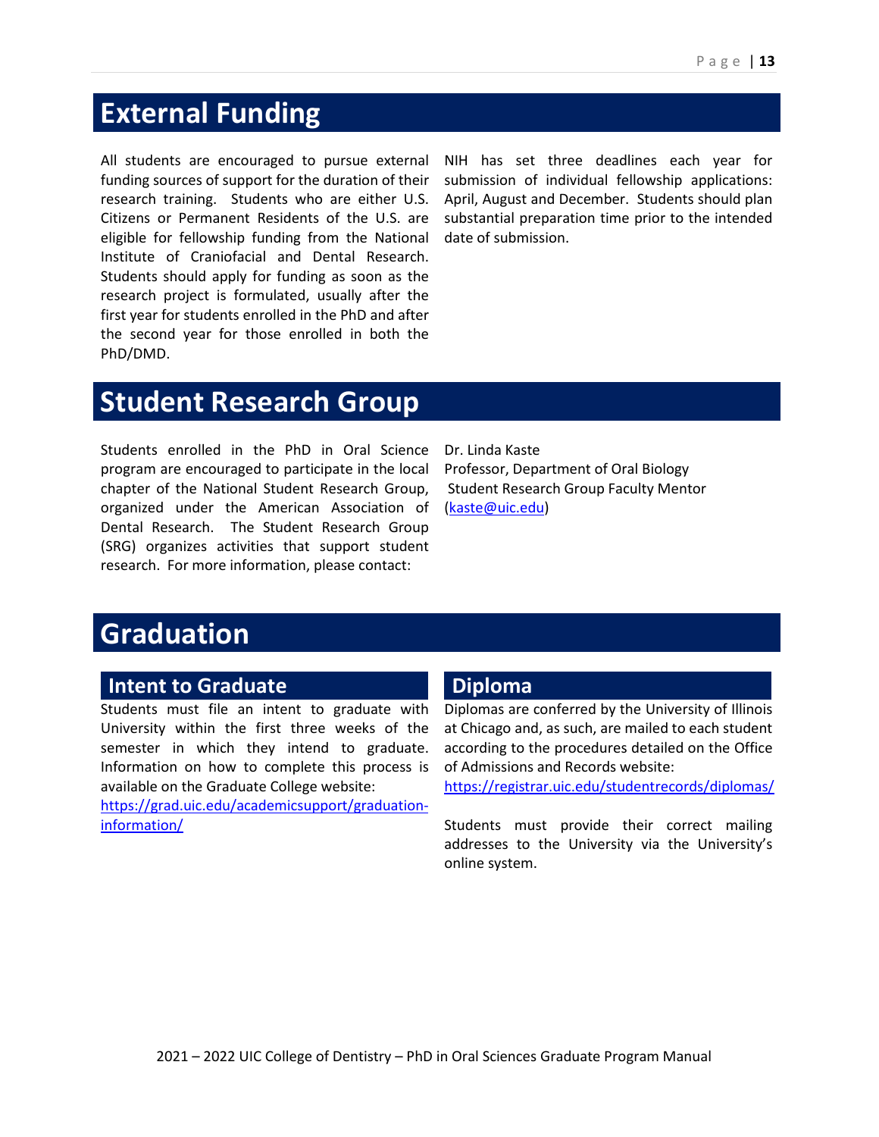# <span id="page-12-0"></span>**External Funding**

All students are encouraged to pursue external funding sources of support for the duration of their research training. Students who are either U.S. Citizens or Permanent Residents of the U.S. are eligible for fellowship funding from the National Institute of Craniofacial and Dental Research. Students should apply for funding as soon as the research project is formulated, usually after the first year for students enrolled in the PhD and after the second year for those enrolled in both the PhD/DMD.

NIH has set three deadlines each year for submission of individual fellowship applications: April, August and December. Students should plan substantial preparation time prior to the intended date of submission.

# <span id="page-12-1"></span>**Student Research Group**

Students enrolled in the PhD in Oral Science program are encouraged to participate in the local chapter of the National Student Research Group, organized under the American Association of Dental Research. The Student Research Group (SRG) organizes activities that support student research. For more information, please contact:

Dr. Linda Kaste Professor, Department of Oral Biology Student Research Group Faculty Mentor [\(kaste@uic.edu\)](mailto:kaste@uic.edu)

# <span id="page-12-2"></span>**Graduation**

#### **Intent to Graduate**

Students must file an intent to graduate with University within the first three weeks of the semester in which they intend to graduate. Information on how to complete this process is available on the Graduate College website:

[https://grad.uic.edu/academicsupport/graduation](https://grad.uic.edu/academicsupport/graduation-information/)[information/](https://grad.uic.edu/academicsupport/graduation-information/)

#### **Diploma**

Diplomas are conferred by the University of Illinois at Chicago and, as such, are mailed to each student according to the procedures detailed on the Office of Admissions and Records website:

<https://registrar.uic.edu/studentrecords/diplomas/>

Students must provide their correct mailing addresses to the University via the University's online system.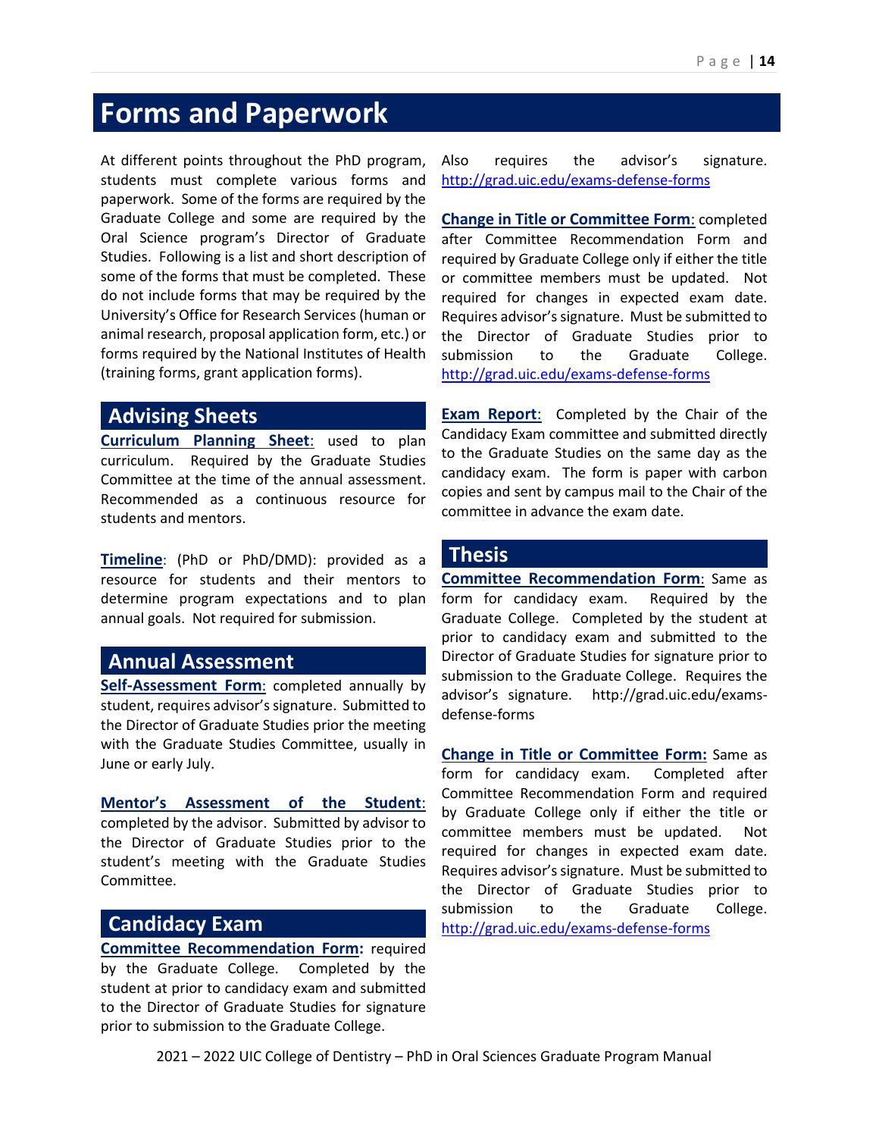# <span id="page-13-0"></span>**Forms and Paperwork**

At different points throughout the PhD program, students must complete various forms and paperwork. Some of the forms are required by the Graduate College and some are required by the Oral Science program's Director of Graduate Studies. Following is a list and short description of some of the forms that must be completed. These do not include forms that may be required by the University's Office for Research Services (human or animal research, proposal application form, etc.) or forms required by the National Institutes of Health (training forms, grant application forms).

#### **Advising Sheets**

**Curriculum Planning Sheet**: used to plan curriculum. Required by the Graduate Studies Committee at the time of the annual assessment. Recommended as a continuous resource for students and mentors.

**Timeline**: (PhD or PhD/DMD): provided as a resource for students and their mentors to determine program expectations and to plan annual goals. Not required for submission.

#### **Annual Assessment**

**Self-Assessment Form:** completed annually by student, requires advisor's signature. Submitted to the Director of Graduate Studies prior the meeting with the Graduate Studies Committee, usually in June or early July.

**Mentor's Assessment of the Student**: completed by the advisor. Submitted by advisor to the Director of Graduate Studies prior to the student's meeting with the Graduate Studies Committee.

#### **Candidacy Exam**

**Committee Recommendation Form:** required by the Graduate College. Completed by the student at prior to candidacy exam and submitted to the Director of Graduate Studies for signature prior to submission to the Graduate College.

Also requires the advisor's signature. <http://grad.uic.edu/exams-defense-forms>

**Change in Title or Committee Form**: completed after Committee Recommendation Form and required by Graduate College only if either the title or committee members must be updated. Not required for changes in expected exam date. Requires advisor's signature. Must be submitted to the Director of Graduate Studies prior to submission to the Graduate College. <http://grad.uic.edu/exams-defense-forms>

**Exam Report:** Completed by the Chair of the Candidacy Exam committee and submitted directly to the Graduate Studies on the same day as the candidacy exam. The form is paper with carbon copies and sent by campus mail to the Chair of the committee in advance the exam date.

#### **Thesis**

**Committee Recommendation Form**: Same as form for candidacy exam. Required by the Graduate College. Completed by the student at prior to candidacy exam and submitted to the Director of Graduate Studies for signature prior to submission to the Graduate College. Requires the advisor's signature. http://grad.uic.edu/examsdefense-forms

**Change in Title or Committee Form:** Same as form for candidacy exam. Completed after Committee Recommendation Form and required by Graduate College only if either the title or committee members must be updated. Not required for changes in expected exam date. Requires advisor's signature. Must be submitted to the Director of Graduate Studies prior to submission to the Graduate College. <http://grad.uic.edu/exams-defense-forms>